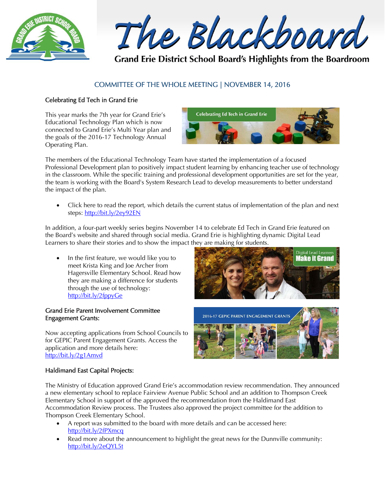

The Blackboard

Grand Erie District School Board's Highlights from the Boardroom

# COMMITTEE OF THE WHOLE MEETING | NOVEMBER 14, 2016

### Celebrating Ed Tech in Grand Erie

This year marks the 7th year for Grand Erie's Educational Technology Plan which is now connected to Grand Erie's Multi Year plan and the goals of the 2016-17 Technology Annual Operating Plan.



The members of the Educational Technology Team have started the implementation of a focused Professional Development plan to positively impact student learning by enhancing teacher use of technology in the classroom. While the specific training and professional development opportunities are set for the year, the team is working with the Board's System Research Lead to develop measurements to better understand the impact of the plan.

 Click here to read the report, which details the current status of implementation of the plan and next steps: http://bit.ly/2ey92EN

In addition, a four-part weekly series begins November 14 to celebrate Ed Tech in Grand Erie featured on the Board's website and shared through social media. Grand Erie is highlighting dynamic Digital Lead Learners to share their stories and to show the impact they are making for students.

 In the first feature, we would like you to meet Krista King and Joe Archer from Hagersville Elementary School. Read how they are making a difference for students through the use of technology: http://bit.ly/2fppyGe

#### Grand Erie Parent Involvement Committee Engagement Grants:

Now accepting applications from School Councils to for GEPIC Parent Engagement Grants. Access the application and more details here: http://bit.ly/2g1Amvd

# Digital Lead Learners **Make it Grand**



## Haldimand East Capital Projects:

The Ministry of Education approved Grand Erie's accommodation review recommendation. They announced a new elementary school to replace Fairview Avenue Public School and an addition to Thompson Creek Elementary School in support of the approved the recommendation from the Haldimand East Accommodation Review process. The Trustees also approved the project committee for the addition to Thompson Creek Elementary School.

- A report was submitted to the board with more details and can be accessed here: http://bit.ly/2fPXmcq
- Read more about the announcement to highlight the great news for the Dunnville community: http://bit.ly/2eQYL5t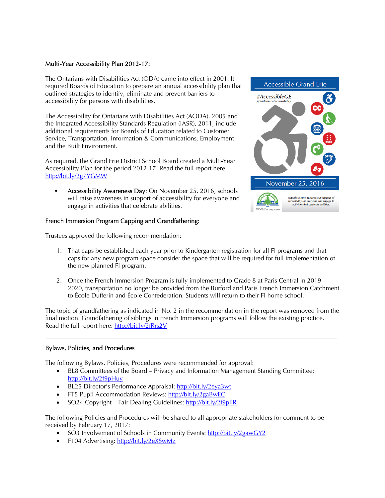#### Multi-Year Accessibility Plan 2012-17:

The Ontarians with Disabilities Act (ODA) came into effect in 2001. It required Boards of Education to prepare an annual accessibility plan that outlined strategies to identify, eliminate and prevent barriers to accessibility for persons with disabilities.

The Accessibility for Ontarians with Disabilities Act (AODA), 2005 and the Integrated Accessibility Standards Regulation (IASR), 2011, include additional requirements for Boards of Education related to Customer Service, Transportation, Information & Communications, Employment and the Built Environment.

As required, the Grand Erie District School Board created a Multi-Year Accessibility Plan for the period 2012-17. Read the full report here: http://bit.ly/2g7YGMW

• Accessibility Awareness Day: On November 25, 2016, schools will raise awareness in support of accessibility for everyone and engage in activities that celebrate abilities.

#### French Immersion Program Capping and Grandfathering:

Trustees approved the following recommendation:

- **Accessible Grand Erie** #AccessibleGE November 25, 2016 Schools to raise awareness in support of<br>accessibility for everyone and engage in<br>activities that celebrate abilities.
- 1. That caps be established each year prior to Kindergarten registration for all FI programs and that caps for any new program space consider the space that will be required for full implementation of the new planned FI program.
- 2. Once the French Immersion Program is fully implemented to Grade 8 at Paris Central in 2019 2020, transportation no longer be provided from the Burford and Paris French Immersion Catchment to École Dufferin and École Confederation. Students will return to their FI home school.

The topic of grandfathering as indicated in No. 2 in the recommendation in the report was removed from the final motion. Grandfathering of siblings in French Immersion programs will follow the existing practice. Read the full report here: http://bit.ly/2fRrs2V

#### Bylaws, Policies, and Procedures

The following Bylaws, Policies, Procedures were recommended for approval:

- BL8 Committees of the Board Privacy and Information Management Standing Committee: http://bit.ly/2f9pHuy
- BL25 Director's Performance Appraisal: http://bit.ly/2eya3wt
- FT5 Pupil Accommodation Reviews: http://bit.ly/2gaBwEC
- SO24 Copyright Fair Dealing Guidelines: http://bit.ly/2f9pJlR

The following Policies and Procedures will be shared to all appropriate stakeholders for comment to be received by February 17, 2017:

- SO3 Involvement of Schools in Community Events: http://bit.ly/2gawGY2
- F104 Advertising: http://bit.ly/2eXSwMz